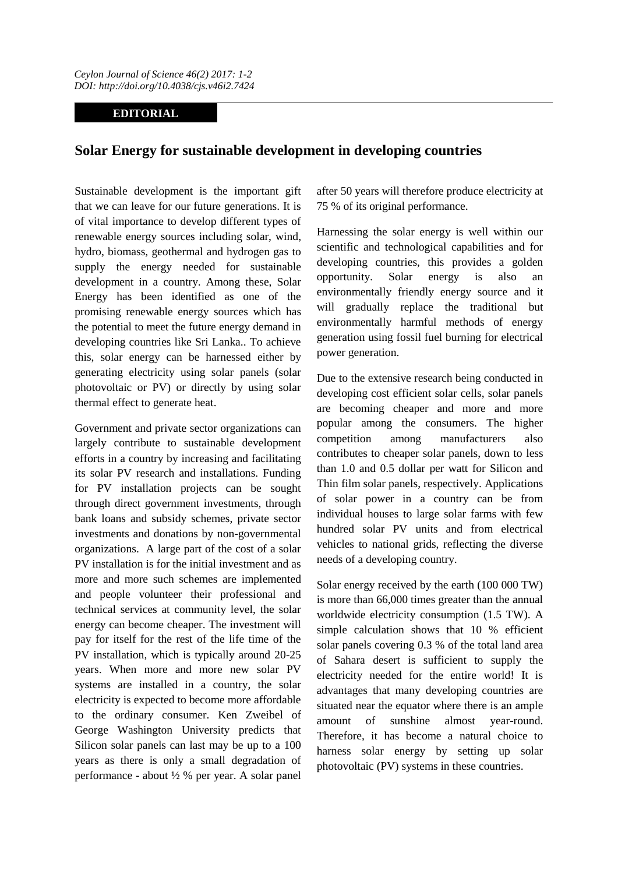## **EDITORIAL**

## **Solar Energy for sustainable development in developing countries**

Sustainable development is the important gift that we can leave for our future generations. It is of vital importance to develop different types of renewable energy sources including solar, wind, hydro, biomass, geothermal and hydrogen gas to supply the energy needed for sustainable development in a country. Among these, Solar Energy has been identified as one of the promising renewable energy sources which has the potential to meet the future energy demand in developing countries like Sri Lanka.. To achieve this, solar energy can be harnessed either by generating electricity using solar panels (solar photovoltaic or PV) or directly by using solar thermal effect to generate heat.

Government and private sector organizations can largely contribute to sustainable development efforts in a country by increasing and facilitating its solar PV research and installations. Funding for PV installation projects can be sought through direct government investments, through bank loans and subsidy schemes, private sector investments and donations by non-governmental organizations. A large part of the cost of a solar PV installation is for the initial investment and as more and more such schemes are implemented and people volunteer their professional and technical services at community level, the solar energy can become cheaper. The investment will pay for itself for the rest of the life time of the PV installation, which is typically around 20-25 years. When more and more new solar PV systems are installed in a country, the solar electricity is expected to become more affordable to the ordinary consumer. Ken Zweibel of George Washington University predicts that Silicon solar panels can last may be up to a 100 years as there is only a small degradation of performance - about ½ % per year. A solar panel

after 50 years will therefore produce electricity at 75 % of its original performance.

Harnessing the solar energy is well within our scientific and technological capabilities and for developing countries, this provides a golden opportunity. Solar energy is also an environmentally friendly energy source and it will gradually replace the traditional but environmentally harmful methods of energy generation using fossil fuel burning for electrical power generation.

Due to the extensive research being conducted in developing cost efficient solar cells, solar panels are becoming cheaper and more and more popular among the consumers. The higher competition among manufacturers also contributes to cheaper solar panels, down to less than 1.0 and 0.5 dollar per watt for Silicon and Thin film solar panels, respectively. Applications of solar power in a country can be from individual houses to large solar farms with few hundred solar PV units and from electrical vehicles to national grids, reflecting the diverse needs of a developing country.

Solar energy received by the earth (100 000 TW) is more than 66,000 times greater than the annual worldwide electricity consumption (1.5 TW). A simple calculation shows that 10 % efficient solar panels covering 0.3 % of the total land area of Sahara desert is sufficient to supply the electricity needed for the entire world! It is advantages that many developing countries are situated near the equator where there is an ample amount of sunshine almost year-round. Therefore, it has become a natural choice to harness solar energy by setting up solar photovoltaic (PV) systems in these countries.